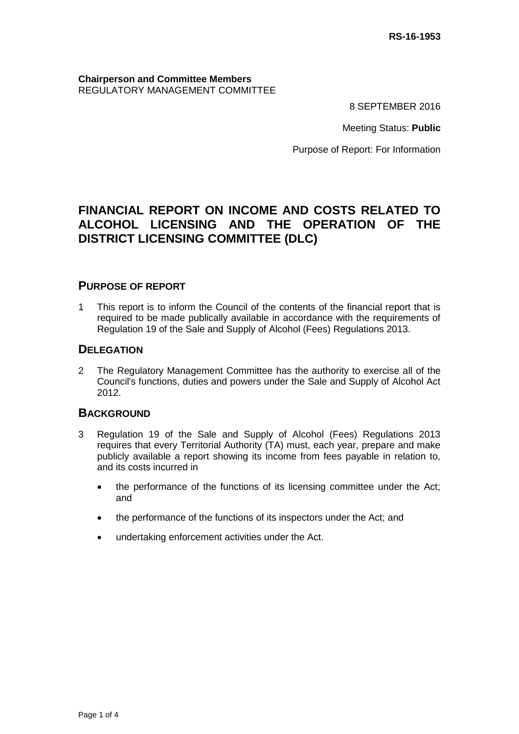## **Chairperson and Committee Members** REGULATORY MANAGEMENT COMMITTEE

8 SEPTEMBER 2016

Meeting Status: **Public**

Purpose of Report: For Information

# **FINANCIAL REPORT ON INCOME AND COSTS RELATED TO ALCOHOL LICENSING AND THE OPERATION OF THE DISTRICT LICENSING COMMITTEE (DLC)**

# **PURPOSE OF REPORT**

1 This report is to inform the Council of the contents of the financial report that is required to be made publically available in accordance with the requirements of Regulation 19 of the Sale and Supply of Alcohol (Fees) Regulations 2013.

# **DELEGATION**

2 The Regulatory Management Committee has the authority to exercise all of the Council's functions, duties and powers under the Sale and Supply of Alcohol Act 2012.

# **BACKGROUND**

- 3 Regulation 19 of the Sale and Supply of Alcohol (Fees) Regulations 2013 requires that every Territorial Authority (TA) must, each year, prepare and make publicly available a report showing its income from fees payable in relation to, and its costs incurred in
	- the performance of the functions of its licensing committee under the Act; and
	- the performance of the functions of its inspectors under the Act; and
	- undertaking enforcement activities under the Act.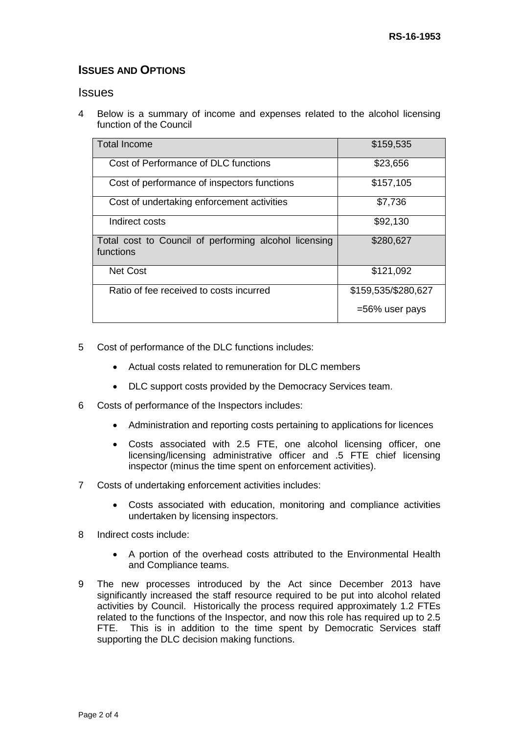# **ISSUES AND OPTIONS**

## **Issues**

4 Below is a summary of income and expenses related to the alcohol licensing function of the Council

| <b>Total Income</b>                                                | \$159,535           |
|--------------------------------------------------------------------|---------------------|
| Cost of Performance of DLC functions                               | \$23,656            |
| Cost of performance of inspectors functions                        | \$157,105           |
| Cost of undertaking enforcement activities                         | \$7,736             |
| Indirect costs                                                     | \$92,130            |
| Total cost to Council of performing alcohol licensing<br>functions | \$280,627           |
| <b>Net Cost</b>                                                    | \$121,092           |
| Ratio of fee received to costs incurred                            | \$159,535/\$280,627 |
|                                                                    | $=56\%$ user pays   |

- 5 Cost of performance of the DLC functions includes:
	- Actual costs related to remuneration for DLC members
	- DLC support costs provided by the Democracy Services team.
- 6 Costs of performance of the Inspectors includes:
	- Administration and reporting costs pertaining to applications for licences
	- Costs associated with 2.5 FTE, one alcohol licensing officer, one licensing/licensing administrative officer and .5 FTE chief licensing inspector (minus the time spent on enforcement activities).
- 7 Costs of undertaking enforcement activities includes:
	- Costs associated with education, monitoring and compliance activities undertaken by licensing inspectors.
- 8 Indirect costs include:
	- A portion of the overhead costs attributed to the Environmental Health and Compliance teams.
- 9 The new processes introduced by the Act since December 2013 have significantly increased the staff resource required to be put into alcohol related activities by Council. Historically the process required approximately 1.2 FTEs related to the functions of the Inspector, and now this role has required up to 2.5 FTE. This is in addition to the time spent by Democratic Services staff supporting the DLC decision making functions.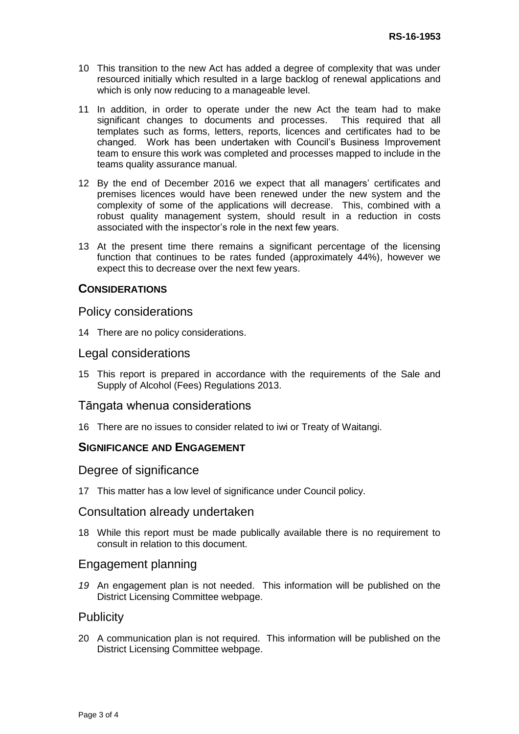- 10 This transition to the new Act has added a degree of complexity that was under resourced initially which resulted in a large backlog of renewal applications and which is only now reducing to a manageable level.
- 11 In addition, in order to operate under the new Act the team had to make significant changes to documents and processes. This required that all templates such as forms, letters, reports, licences and certificates had to be changed. Work has been undertaken with Council's Business Improvement team to ensure this work was completed and processes mapped to include in the teams quality assurance manual.
- 12 By the end of December 2016 we expect that all managers' certificates and premises licences would have been renewed under the new system and the complexity of some of the applications will decrease. This, combined with a robust quality management system, should result in a reduction in costs associated with the inspector's role in the next few years.
- 13 At the present time there remains a significant percentage of the licensing function that continues to be rates funded (approximately 44%), however we expect this to decrease over the next few years.

# **CONSIDERATIONS**

## Policy considerations

14 There are no policy considerations.

#### Legal considerations

15 This report is prepared in accordance with the requirements of the Sale and Supply of Alcohol (Fees) Regulations 2013.

## Tāngata whenua considerations

16 There are no issues to consider related to iwi or Treaty of Waitangi.

## **SIGNIFICANCE AND ENGAGEMENT**

#### Degree of significance

17 This matter has a low level of significance under Council policy.

#### Consultation already undertaken

18 While this report must be made publically available there is no requirement to consult in relation to this document.

## Engagement planning

*19* An engagement plan is not needed. This information will be published on the District Licensing Committee webpage.

#### **Publicity**

20 A communication plan is not required. This information will be published on the District Licensing Committee webpage.